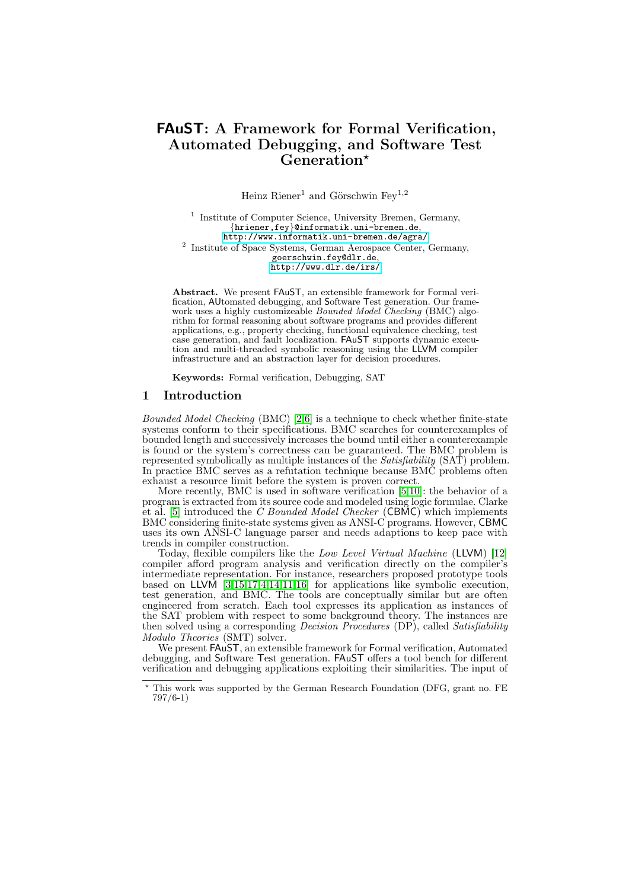# FAuST: A Framework for Formal Verification, Automated Debugging, and Software Test Generation\*

Heinz Riener<sup>1</sup> and Görschwin Fey<sup>1,2</sup>

<sup>1</sup> Institute of Computer Science, University Bremen, Germany, {hriener,fey}@informatik.uni-bremen.de, <http://www.informatik.uni-bremen.de/agra/> <sup>2</sup> Institute of Space Systems, German Aerospace Center, Germany, goerschwin.fey@dlr.de, <http://www.dlr.de/irs/>

Abstract. We present FAuST, an extensible framework for Formal verification, AUtomated debugging, and Software Test generation. Our framework uses a highly customizeable *Bounded Model Checking* (BMC) algorithm for formal reasoning about software programs and provides different applications, e.g., property checking, functional equivalence checking, test case generation, and fault localization. FAuST supports dynamic execution and multi-threaded symbolic reasoning using the LLVM compiler infrastructure and an abstraction layer for decision procedures.

Keywords: Formal verification, Debugging, SAT

## 1 Introduction

Bounded Model Checking (BMC) [\[2](#page-4-0)[,6\]](#page-4-1) is a technique to check whether finite-state systems conform to their specifications. BMC searches for counterexamples of bounded length and successively increases the bound until either a counterexample is found or the system's correctness can be guaranteed. The BMC problem is represented symbolically as multiple instances of the Satisfiability (SAT) problem. In practice BMC serves as a refutation technique because BMC problems often exhaust a resource limit before the system is proven correct.

More recently, BMC is used in software verification [\[5,](#page-4-2)[10\]](#page-4-3): the behavior of a program is extracted from its source code and modeled using logic formulae. Clarke et al. [\[5\]](#page-4-2) introduced the C Bounded Model Checker  $(CBMC)$  which implements BMC considering finite-state systems given as ANSI-C programs. However, CBMC uses its own ANSI-C language parser and needs adaptions to keep pace with trends in compiler construction.

Today, flexible compilers like the Low Level Virtual Machine (LLVM) [\[12\]](#page-4-4) compiler afford program analysis and verification directly on the compiler's intermediate representation. For instance, researchers proposed prototype tools based on LLVM [\[3,](#page-4-5)[15](#page-4-6)[,17](#page-4-7)[,4,](#page-4-8)[14,](#page-4-9)[11,](#page-4-10)[16\]](#page-4-11) for applications like symbolic execution, test generation, and BMC. The tools are conceptually similar but are often engineered from scratch. Each tool expresses its application as instances of the SAT problem with respect to some background theory. The instances are then solved using a corresponding *Decision Procedures* (DP), called *Satisfiability* Modulo Theories (SMT) solver.

We present  $FAuST$ , an extensible framework for Formal verification, Automated debugging, and Software Test generation. FAuST offers a tool bench for different verification and debugging applications exploiting their similarities. The input of

<sup>?</sup> This work was supported by the German Research Foundation (DFG, grant no. FE 797/6-1)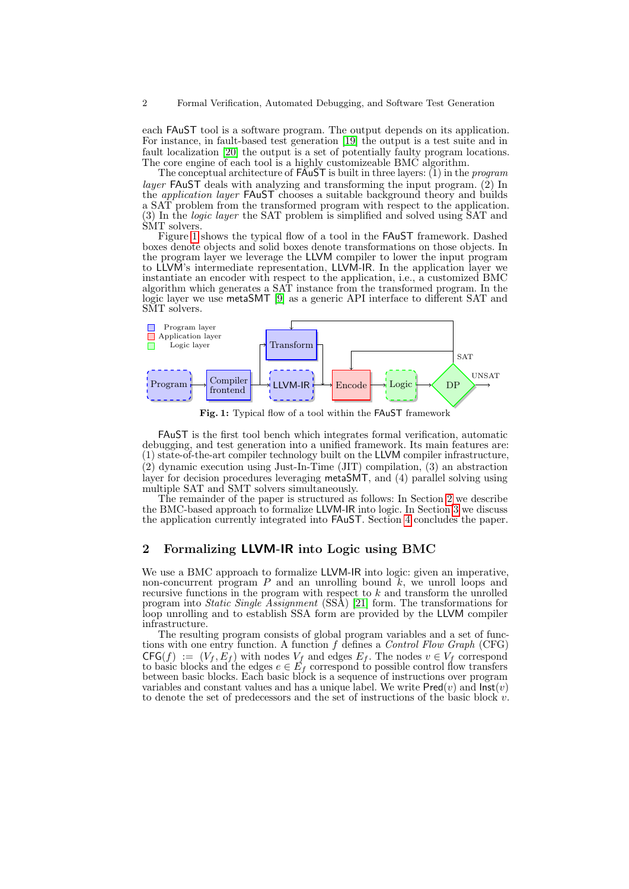each FAuST tool is a software program. The output depends on its application. For instance, in fault-based test generation [\[19\]](#page-4-12) the output is a test suite and in fault localization [\[20\]](#page-4-13) the output is a set of potentially faulty program locations. The core engine of each tool is a highly customizeable BMC algorithm.

The conceptual architecture of  $FAuST$  is built in three layers: (1) in the *program* layer FAuST deals with analyzing and transforming the input program. (2) In the *application layer* **FAuST** chooses a suitable background theory and builds a SAT problem from the transformed program with respect to the application. (3) In the logic layer the SAT problem is simplified and solved using SAT and SMT solvers.

Figure [1](#page-1-0) shows the typical flow of a tool in the FAuST framework. Dashed boxes denote objects and solid boxes denote transformations on those objects. In the program layer we leverage the LLVM compiler to lower the input program to LLVM's intermediate representation, LLVM-IR. In the application layer we instantiate an encoder with respect to the application, i.e., a customized BMC algorithm which generates a SAT instance from the transformed program. In the logic layer we use metaSMT [\[9\]](#page-4-14) as a generic API interface to different SAT and SMT solvers.



<span id="page-1-0"></span>Fig. 1: Typical flow of a tool within the FAuST framework

FAuST is the first tool bench which integrates formal verification, automatic debugging, and test generation into a unified framework. Its main features are: (1) state-of-the-art compiler technology built on the LLVM compiler infrastructure, (2) dynamic execution using Just-In-Time (JIT) compilation, (3) an abstraction layer for decision procedures leveraging metaSMT, and (4) parallel solving using multiple SAT and SMT solvers simultaneously.

The remainder of the paper is structured as follows: In Section [2](#page-1-1) we describe the BMC-based approach to formalize LLVM-IR into logic. In Section [3](#page-2-0) we discuss the application currently integrated into FAuST. Section [4](#page-3-0) concludes the paper.

## <span id="page-1-1"></span>2 Formalizing LLVM-IR into Logic using BMC

We use a BMC approach to formalize LLVM-IR into logic: given an imperative, non-concurrent program  $P$  and an unrolling bound  $k$ , we unroll loops and recursive functions in the program with respect to k and transform the unrolled program into *Static Single Assignment* (SSA) [\[21\]](#page-4-15) form. The transformations for loop unrolling and to establish SSA form are provided by the LLVM compiler infrastructure.

The resulting program consists of global program variables and a set of functions with one entry function. A function  $f$  defines a *Control Flow Graph* (CFG)  $CFG(f) := (V_f, E_f)$  with nodes  $V_f$  and edges  $E_f$ . The nodes  $v \in V_f$  correspond to basic blocks and the edges  $e \in E_f$  correspond to possible control flow transfers between basic blocks. Each basic block is a sequence of instructions over program variables and constant values and has a unique label. We write  $\mathsf{Pred}(v)$  and  $\mathsf{Inst}(v)$ to denote the set of predecessors and the set of instructions of the basic block  $v$ .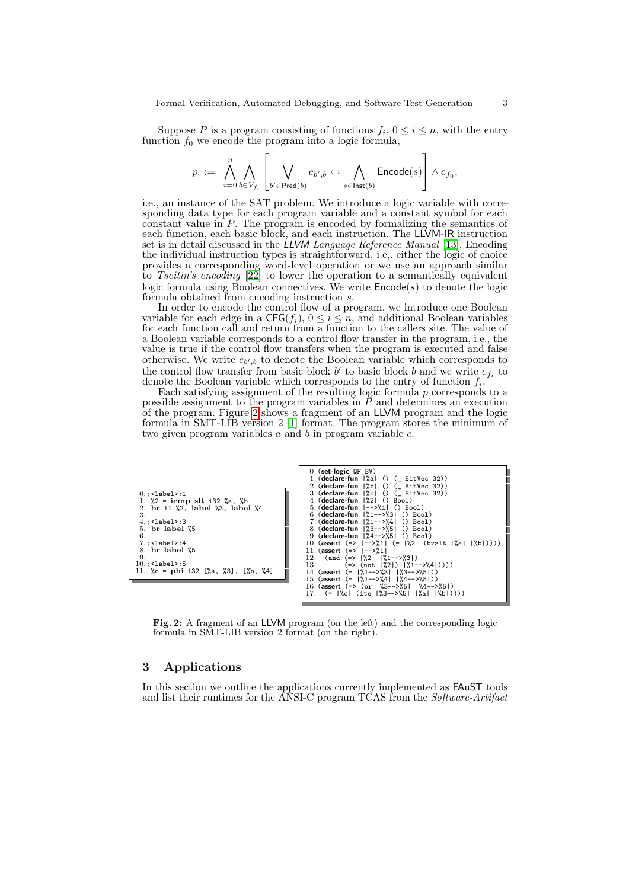Suppose P is a program consisting of functions  $f_i$ ,  $0 \le i \le n$ , with the entry function  $f_0$  we encode the program into a logic formula,

$$
p \ := \ \bigwedge_{i=0}^n \bigwedge_{b \in V_{f_i}} \left[ \bigvee_{b' \in \text{Pred}(b)} e_{b',b} \leftrightarrow \bigwedge_{s \in \text{Inst}(b)} \text{Encode}(s) \right] \wedge e_{f_0},
$$

i.e., an instance of the SAT problem. We introduce a logic variable with corresponding data type for each program variable and a constant symbol for each constant value in P. The program is encoded by formalizing the semantics of each function, each basic block, and each instruction. The LLVM-IR instruction set is in detail discussed in the *LLVM Language Reference Manual* [\[13\]](#page-4-16). Encoding the individual instruction types is straightforward, i.e,. either the logic of choice provides a corresponding word-level operation or we use an approach similar to *Tseitin's encoding* [\[22\]](#page-4-17) to lower the operation to a semantically equivalent logic formula using Boolean connectives. We write  $\mathsf{Encode}(s)$  to denote the logic formula obtained from encoding instruction s.

In order to encode the control flow of a program, we introduce one Boolean variable for each edge in a  $CFG(f_i)$ ,  $0 \leq i \leq n$ , and additional Boolean variables for each function call and return from a function to the callers site. The value of a Boolean variable corresponds to a control flow transfer in the program, i.e., the value is true if the control flow transfers when the program is executed and false otherwise. We write  $e_{b',b}$  to denote the Boolean variable which corresponds to the control flow transfer from basic block  $b'$  to basic block  $b$  and we write  $e_{f_i}$  to denote the Boolean variable which corresponds to the entry of function  $f_i$ .

Each satisfying assignment of the resulting logic formula  $p$  corresponds to a possible assignment to the program variables in  $\tilde{P}$  and determines an execution of the program. Figure [2](#page-2-1) shows a fragment of an LLVM program and the logic formula in SMT-LIB version 2 [\[1\]](#page-4-18) format. The program stores the minimum of two given program variables  $a$  and  $b$  in program variable  $c$ .



<span id="page-2-1"></span>Fig. 2: A fragment of an LLVM program (on the left) and the corresponding logic formula in SMT-LIB version 2 format (on the right).

## <span id="page-2-0"></span>3 Applications

In this section we outline the applications currently implemented as FAuST tools and list their runtimes for the ANSI-C program TCAS from the Software-Artifact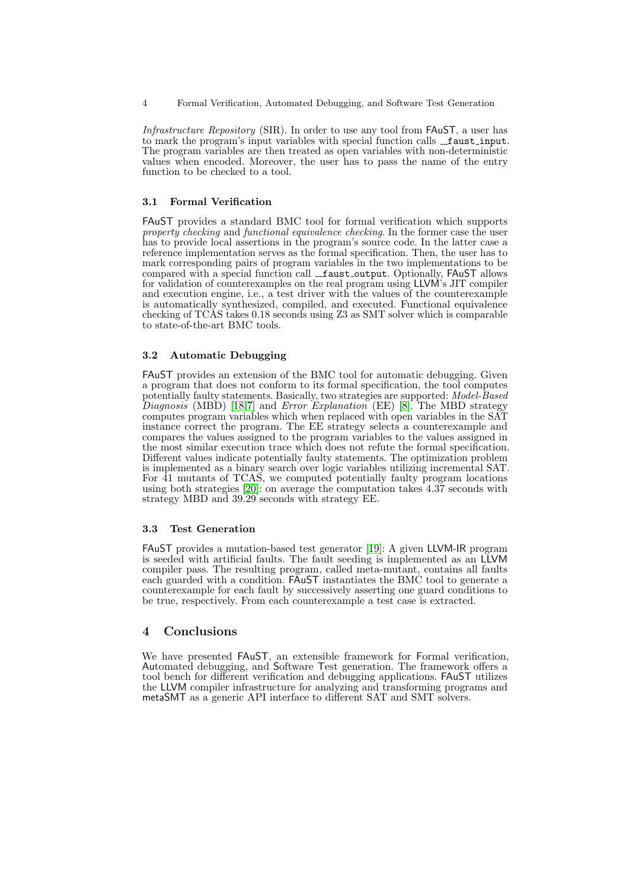4 Formal Verification, Automated Debugging, and Software Test Generation

Infrastructure Repository (SIR). In order to use any tool from FAuST, a user has to mark the program's input variables with special function calls  $\text{\_}$ faust input. The program variables are then treated as open variables with non-deterministic values when encoded. Moreover, the user has to pass the name of the entry function to be checked to a tool.

### 3.1 Formal Verification

FAuST provides a standard BMC tool for formal verification which supports property checking and functional equivalence checking. In the former case the user has to provide local assertions in the program's source code. In the latter case a reference implementation serves as the formal specification. Then, the user has to mark corresponding pairs of program variables in the two implementations to be compared with a special function call \_faust\_output. Optionally, FAuST allows for validation of counterexamples on the real program using LLVM's JIT compiler and execution engine, i.e., a test driver with the values of the counterexample is automatically synthesized, compiled, and executed. Functional equivalence checking of TCAS takes 0.18 seconds using Z3 as SMT solver which is comparable to state-of-the-art BMC tools.

## 3.2 Automatic Debugging

FAuST provides an extension of the BMC tool for automatic debugging. Given a program that does not conform to its formal specification, the tool computes potentially faulty statements. Basically, two strategies are supported: Model-Based *Diagnosis* (MBD) [\[18,](#page-4-19)[7\]](#page-4-20) and *Error Explanation* (EE) [\[8\]](#page-4-21). The MBD strategy computes program variables which when replaced with open variables in the SAT instance correct the program. The EE strategy selects a counterexample and compares the values assigned to the program variables to the values assigned in the most similar execution trace which does not refute the formal specification. Different values indicate potentially faulty statements. The optimization problem is implemented as a binary search over logic variables utilizing incremental SAT. For 41 mutants of TCAS, we computed potentially faulty program locations using both strategies [\[20\]](#page-4-13): on average the computation takes 4.37 seconds with strategy MBD and 39.29 seconds with strategy EE.

#### 3.3 Test Generation

FAuST provides a mutation-based test generator [\[19\]](#page-4-12): A given LLVM-IR program is seeded with artificial faults. The fault seeding is implemented as an LLVM compiler pass. The resulting program, called meta-mutant, contains all faults each guarded with a condition. FAuST instantiates the BMC tool to generate a counterexample for each fault by successively asserting one guard conditions to be true, respectively. From each counterexample a test case is extracted.

## <span id="page-3-0"></span>4 Conclusions

We have presented FAuST, an extensible framework for Formal verification, Automated debugging, and Software Test generation. The framework offers a tool bench for different verification and debugging applications. FAuST utilizes the LLVM compiler infrastructure for analyzing and transforming programs and metaSMT as a generic API interface to different SAT and SMT solvers.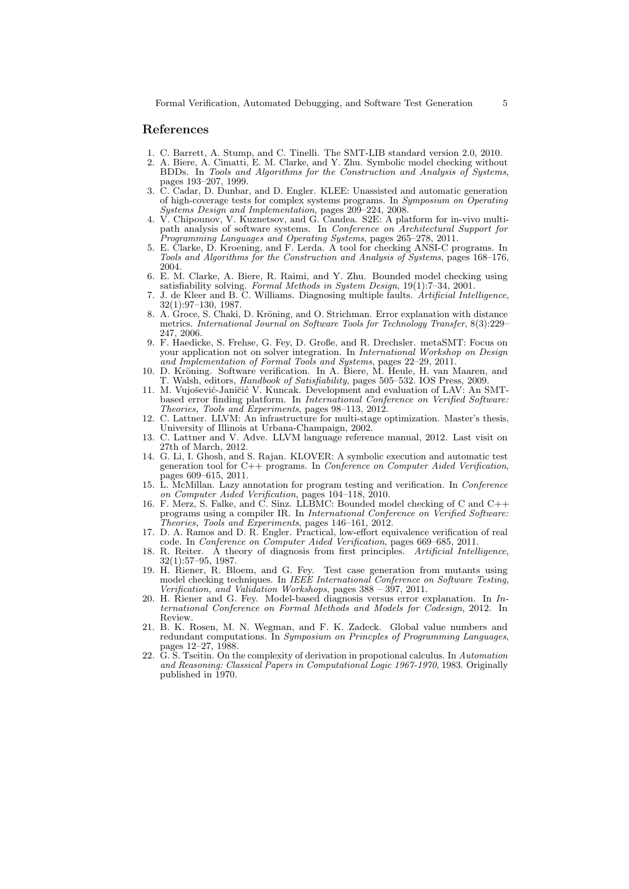### References

- <span id="page-4-18"></span>1. C. Barrett, A. Stump, and C. Tinelli. The SMT-LIB standard version 2.0, 2010.
- <span id="page-4-0"></span>2. A. Biere, A. Cimatti, E. M. Clarke, and Y. Zhu. Symbolic model checking without BDDs. In Tools and Algorithms for the Construction and Analysis of Systems, pages 193–207, 1999.
- <span id="page-4-5"></span>3. C. Cadar, D. Dunbar, and D. Engler. KLEE: Unassisted and automatic generation of high-coverage tests for complex systems programs. In Symposium on Operating Systems Design and Implementation, pages 209–224, 2008.
- <span id="page-4-8"></span>4. V. Chipounov, V. Kuznetsov, and G. Candea. S2E: A platform for in-vivo multipath analysis of software systems. In Conference on Architectural Support for Programming Languages and Operating Systems, pages 265–278, 2011.
- <span id="page-4-2"></span>5. E. Clarke, D. Kroening, and F. Lerda. A tool for checking ANSI-C programs. In Tools and Algorithms for the Construction and Analysis of Systems, pages 168–176, 2004.
- <span id="page-4-1"></span>6. E. M. Clarke, A. Biere, R. Raimi, and Y. Zhu. Bounded model checking using satisfiability solving. Formal Methods in System Design, 19(1):7–34, 2001.
- <span id="page-4-20"></span>7. J. de Kleer and B. C. Williams. Diagnosing multiple faults. Artificial Intelligence, 32(1):97–130, 1987.
- <span id="page-4-21"></span>8. Groce, S. Chaki, D. Kröning, and O. Strichman. Error explanation with distance metrics. International Journal on Software Tools for Technology Transfer, 8(3):229– 247, 2006.
- <span id="page-4-14"></span>9. F. Haedicke, S. Frehse, G. Fey, D. Große, and R. Drechsler. metaSMT: Focus on your application not on solver integration. In International Workshop on Design and Implementation of Formal Tools and Systems, pages 22–29, 2011.
- <span id="page-4-3"></span>10. D. Kröning. Software verification. In A. Biere, M. Heule, H. van Maaren, and T. Walsh, editors, Handbook of Satisfiability, pages 505–532. IOS Press, 2009.
- <span id="page-4-10"></span>11. M. Vujošević-Janičić V. Kuncak. Development and evaluation of LAV: An SMTbased error finding platform. In International Conference on Verified Software: Theories, Tools and Experiments, pages 98–113, 2012.
- <span id="page-4-4"></span>12. C. Lattner. LLVM: An infrastructure for multi-stage optimization. Master's thesis, University of Illinois at Urbana-Champaign, 2002.
- <span id="page-4-16"></span>13. C. Lattner and V. Adve. LLVM language reference manual, 2012. Last visit on 27th of March, 2012.
- <span id="page-4-9"></span>14. G. Li, I. Ghosh, and S. Rajan. KLOVER: A symbolic execution and automatic test generation tool for C++ programs. In Conference on Computer Aided Verification, pages 609–615, 2011.
- <span id="page-4-6"></span>15. L. McMillan. Lazy annotation for program testing and verification. In Conference on Computer Aided Verification, pages 104–118, 2010.
- <span id="page-4-11"></span>16. F. Merz, S. Falke, and C. Sinz. LLBMC: Bounded model checking of C and C++ programs using a compiler IR. In International Conference on Verified Software: Theories, Tools and Experiments, pages 146–161, 2012.
- <span id="page-4-7"></span>17. D. A. Ramos and D. R. Engler. Practical, low-effort equivalence verification of real code. In Conference on Computer Aided Verification, pages 669–685, 2011.
- <span id="page-4-19"></span>18. R. Reiter. A theory of diagnosis from first principles. Artificial Intelligence, 32(1):57–95, 1987.
- <span id="page-4-12"></span>19. H. Riener, R. Bloem, and G. Fey. Test case generation from mutants using model checking techniques. In IEEE International Conference on Software Testing, Verification, and Validation Workshops, pages  $388 - 397$ , 2011.
- <span id="page-4-13"></span>20. H. Riener and G. Fey. Model-based diagnosis versus error explanation. In  $In$ ternational Conference on Formal Methods and Models for Codesign, 2012. In Review.
- <span id="page-4-15"></span>21. B. K. Rosen, M. N. Wegman, and F. K. Zadeck. Global value numbers and redundant computations. In Symposium on Princples of Programming Languages, pages 12–27, 1988.
- <span id="page-4-17"></span>22. G. S. Tseitin. On the complexity of derivation in propotional calculus. In Automation and Reasoning: Classical Papers in Computational Logic 1967-1970, 1983. Originally published in 1970.